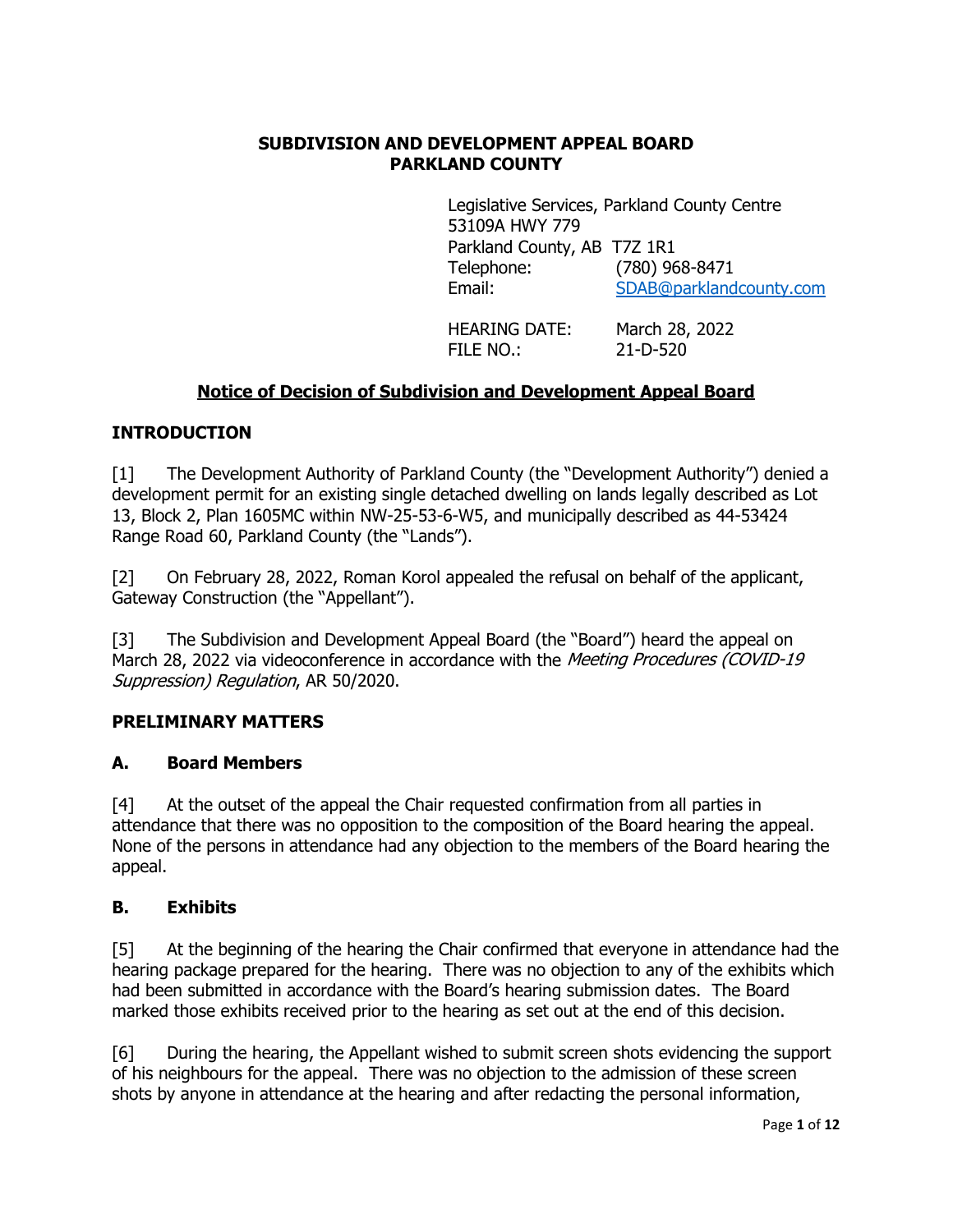## **SUBDIVISION AND DEVELOPMENT APPEAL BOARD PARKLAND COUNTY**

Legislative Services, Parkland County Centre 53109A HWY 779 Parkland County, AB T7Z 1R1 Telephone: (780) 968-8471 Email: [SDAB@parklandcounty.com](mailto:SDAB@parklandcounty.com) 

HEARING DATE: March 28, 2022 FILE NO.: 21-D-520

# **Notice of Decision of Subdivision and Development Appeal Board**

## **INTRODUCTION**

[1] The Development Authority of Parkland County (the "Development Authority") denied a development permit for an existing single detached dwelling on lands legally described as Lot 13, Block 2, Plan 1605MC within NW-25-53-6-W5, and municipally described as 44-53424 Range Road 60, Parkland County (the "Lands").

[2] On February 28, 2022, Roman Korol appealed the refusal on behalf of the applicant, Gateway Construction (the "Appellant").

[3] The Subdivision and Development Appeal Board (the "Board") heard the appeal on March 28, 2022 via videoconference in accordance with the Meeting Procedures (COVID-19 Suppression) Regulation, AR 50/2020.

#### **PRELIMINARY MATTERS**

#### **A. Board Members**

[4] At the outset of the appeal the Chair requested confirmation from all parties in attendance that there was no opposition to the composition of the Board hearing the appeal. None of the persons in attendance had any objection to the members of the Board hearing the appeal.

#### **B. Exhibits**

[5] At the beginning of the hearing the Chair confirmed that everyone in attendance had the hearing package prepared for the hearing. There was no objection to any of the exhibits which had been submitted in accordance with the Board's hearing submission dates. The Board marked those exhibits received prior to the hearing as set out at the end of this decision.

[6] During the hearing, the Appellant wished to submit screen shots evidencing the support of his neighbours for the appeal. There was no objection to the admission of these screen shots by anyone in attendance at the hearing and after redacting the personal information,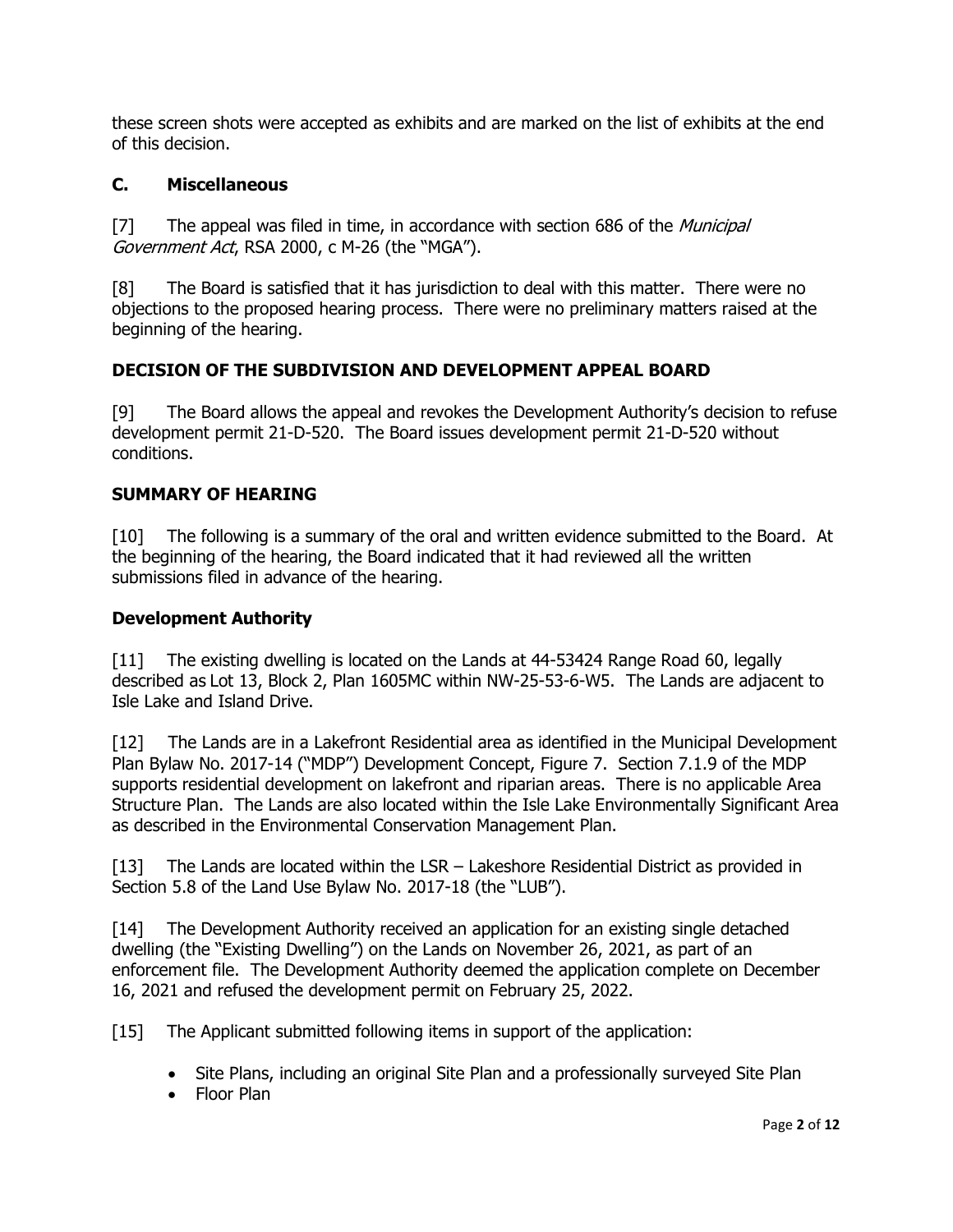these screen shots were accepted as exhibits and are marked on the list of exhibits at the end of this decision.

## **C. Miscellaneous**

[7] The appeal was filed in time, in accordance with section 686 of the *Municipal* Government Act, RSA 2000, c M-26 (the "MGA").

[8] The Board is satisfied that it has jurisdiction to deal with this matter. There were no objections to the proposed hearing process. There were no preliminary matters raised at the beginning of the hearing.

#### **DECISION OF THE SUBDIVISION AND DEVELOPMENT APPEAL BOARD**

[9] The Board allows the appeal and revokes the Development Authority's decision to refuse development permit 21-D-520. The Board issues development permit 21-D-520 without conditions.

#### **SUMMARY OF HEARING**

[10] The following is a summary of the oral and written evidence submitted to the Board. At the beginning of the hearing, the Board indicated that it had reviewed all the written submissions filed in advance of the hearing.

#### **Development Authority**

[11] The existing dwelling is located on the Lands at 44-53424 Range Road 60, legally described as Lot 13, Block 2, Plan 1605MC within NW-25-53-6-W5. The Lands are adjacent to Isle Lake and Island Drive.

[12] The Lands are in a Lakefront Residential area as identified in the Municipal Development Plan Bylaw No. 2017-14 ("MDP") Development Concept, Figure 7. Section 7.1.9 of the MDP supports residential development on lakefront and riparian areas. There is no applicable Area Structure Plan. The Lands are also located within the Isle Lake Environmentally Significant Area as described in the Environmental Conservation Management Plan.

[13] The Lands are located within the LSR – Lakeshore Residential District as provided in Section 5.8 of the Land Use Bylaw No. 2017-18 (the "LUB").

[14] The Development Authority received an application for an existing single detached dwelling (the "Existing Dwelling") on the Lands on November 26, 2021, as part of an enforcement file. The Development Authority deemed the application complete on December 16, 2021 and refused the development permit on February 25, 2022.

[15] The Applicant submitted following items in support of the application:

- Site Plans, including an original Site Plan and a professionally surveyed Site Plan
- Floor Plan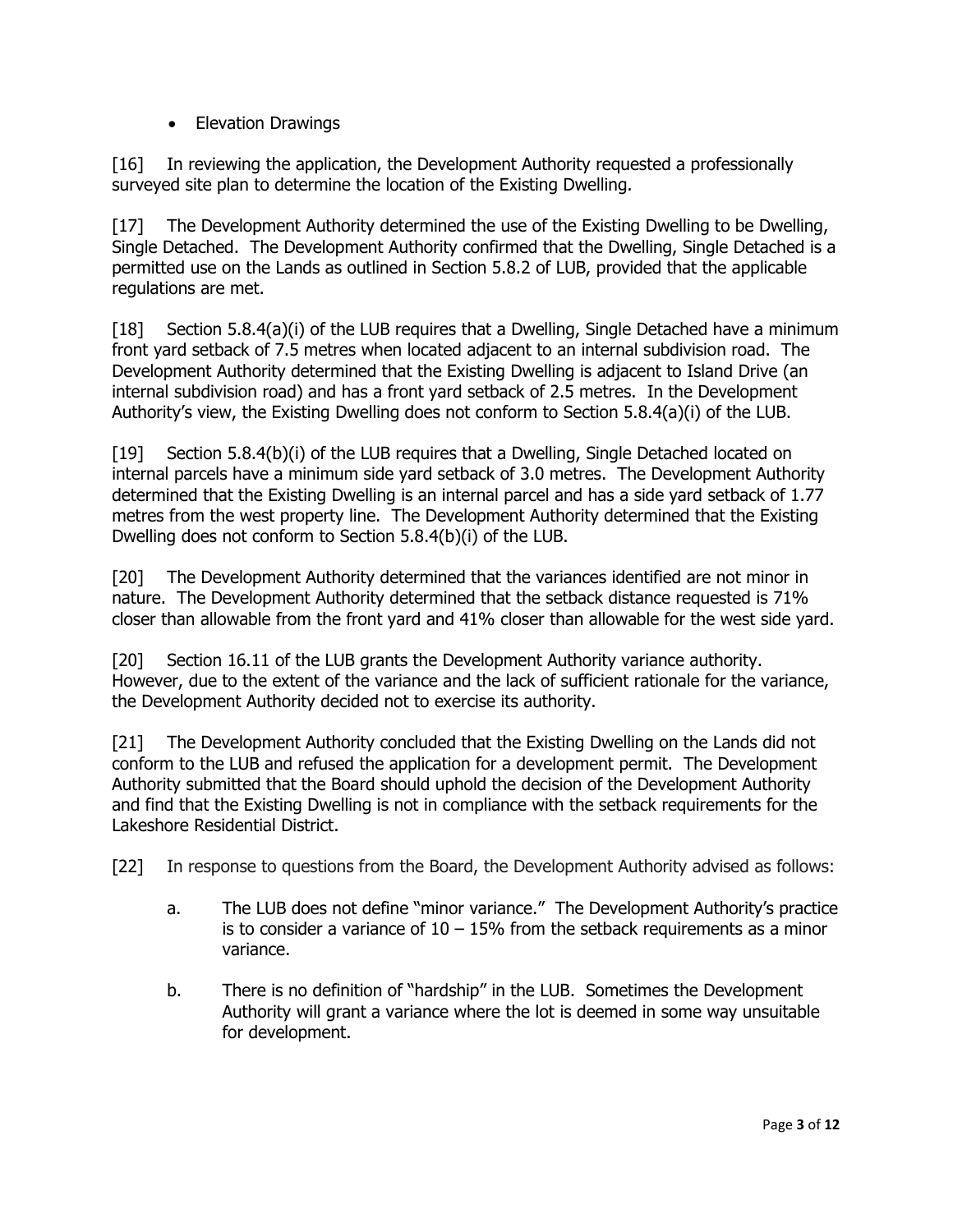• Elevation Drawings

[16] In reviewing the application, the Development Authority requested a professionally surveyed site plan to determine the location of the Existing Dwelling.

[17] The Development Authority determined the use of the Existing Dwelling to be Dwelling, Single Detached. The Development Authority confirmed that the Dwelling, Single Detached is a permitted use on the Lands as outlined in Section 5.8.2 of LUB, provided that the applicable regulations are met.

[18] Section 5.8.4(a)(i) of the LUB requires that a Dwelling, Single Detached have a minimum front yard setback of 7.5 metres when located adjacent to an internal subdivision road. The Development Authority determined that the Existing Dwelling is adjacent to Island Drive (an internal subdivision road) and has a front yard setback of 2.5 metres. In the Development Authority's view, the Existing Dwelling does not conform to Section 5.8.4(a)(i) of the LUB.

[19] Section 5.8.4(b)(i) of the LUB requires that a Dwelling, Single Detached located on internal parcels have a minimum side yard setback of 3.0 metres. The Development Authority determined that the Existing Dwelling is an internal parcel and has a side yard setback of 1.77 metres from the west property line. The Development Authority determined that the Existing Dwelling does not conform to Section 5.8.4(b)(i) of the LUB.

[20] The Development Authority determined that the variances identified are not minor in nature. The Development Authority determined that the setback distance requested is 71% closer than allowable from the front yard and 41% closer than allowable for the west side yard.

[20] Section 16.11 of the LUB grants the Development Authority variance authority. However, due to the extent of the variance and the lack of sufficient rationale for the variance, the Development Authority decided not to exercise its authority.

[21] The Development Authority concluded that the Existing Dwelling on the Lands did not conform to the LUB and refused the application for a development permit. The Development Authority submitted that the Board should uphold the decision of the Development Authority and find that the Existing Dwelling is not in compliance with the setback requirements for the Lakeshore Residential District.

[22] In response to questions from the Board, the Development Authority advised as follows:

- a. The LUB does not define "minor variance." The Development Authority's practice is to consider a variance of  $10 - 15%$  from the setback requirements as a minor variance.
- b. There is no definition of "hardship" in the LUB. Sometimes the Development Authority will grant a variance where the lot is deemed in some way unsuitable for development.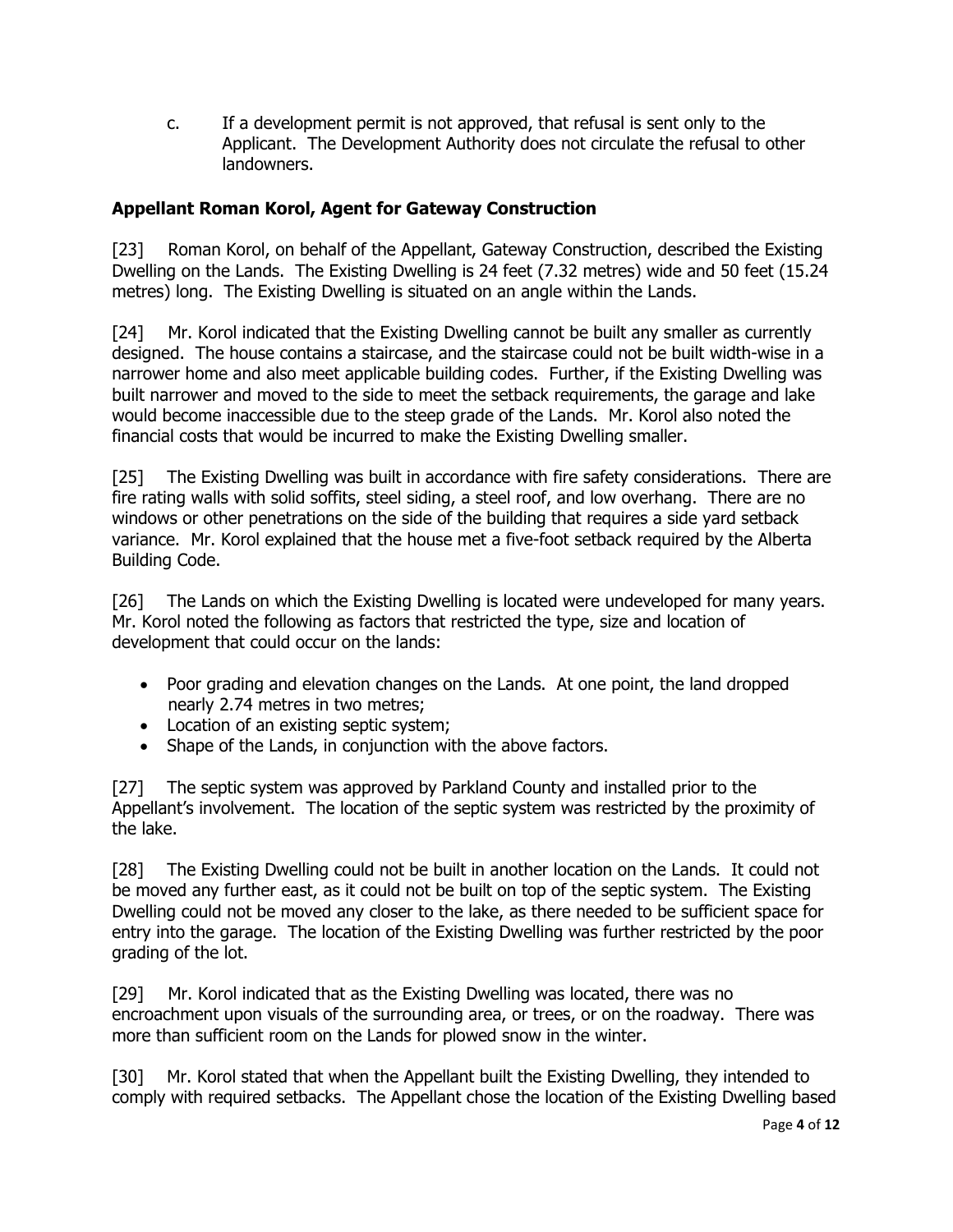c. If a development permit is not approved, that refusal is sent only to the Applicant. The Development Authority does not circulate the refusal to other landowners.

# **Appellant Roman Korol, Agent for Gateway Construction**

[23] Roman Korol, on behalf of the Appellant, Gateway Construction, described the Existing Dwelling on the Lands. The Existing Dwelling is 24 feet (7.32 metres) wide and 50 feet (15.24 metres) long. The Existing Dwelling is situated on an angle within the Lands.

[24] Mr. Korol indicated that the Existing Dwelling cannot be built any smaller as currently designed. The house contains a staircase, and the staircase could not be built width-wise in a narrower home and also meet applicable building codes. Further, if the Existing Dwelling was built narrower and moved to the side to meet the setback requirements, the garage and lake would become inaccessible due to the steep grade of the Lands. Mr. Korol also noted the financial costs that would be incurred to make the Existing Dwelling smaller.

[25] The Existing Dwelling was built in accordance with fire safety considerations. There are fire rating walls with solid soffits, steel siding, a steel roof, and low overhang. There are no windows or other penetrations on the side of the building that requires a side yard setback variance. Mr. Korol explained that the house met a five-foot setback required by the Alberta Building Code.

[26] The Lands on which the Existing Dwelling is located were undeveloped for many years. Mr. Korol noted the following as factors that restricted the type, size and location of development that could occur on the lands:

- Poor grading and elevation changes on the Lands. At one point, the land dropped nearly 2.74 metres in two metres;
- Location of an existing septic system;
- Shape of the Lands, in conjunction with the above factors.

[27] The septic system was approved by Parkland County and installed prior to the Appellant's involvement. The location of the septic system was restricted by the proximity of the lake.

[28] The Existing Dwelling could not be built in another location on the Lands. It could not be moved any further east, as it could not be built on top of the septic system. The Existing Dwelling could not be moved any closer to the lake, as there needed to be sufficient space for entry into the garage. The location of the Existing Dwelling was further restricted by the poor grading of the lot.

[29] Mr. Korol indicated that as the Existing Dwelling was located, there was no encroachment upon visuals of the surrounding area, or trees, or on the roadway. There was more than sufficient room on the Lands for plowed snow in the winter.

[30] Mr. Korol stated that when the Appellant built the Existing Dwelling, they intended to comply with required setbacks. The Appellant chose the location of the Existing Dwelling based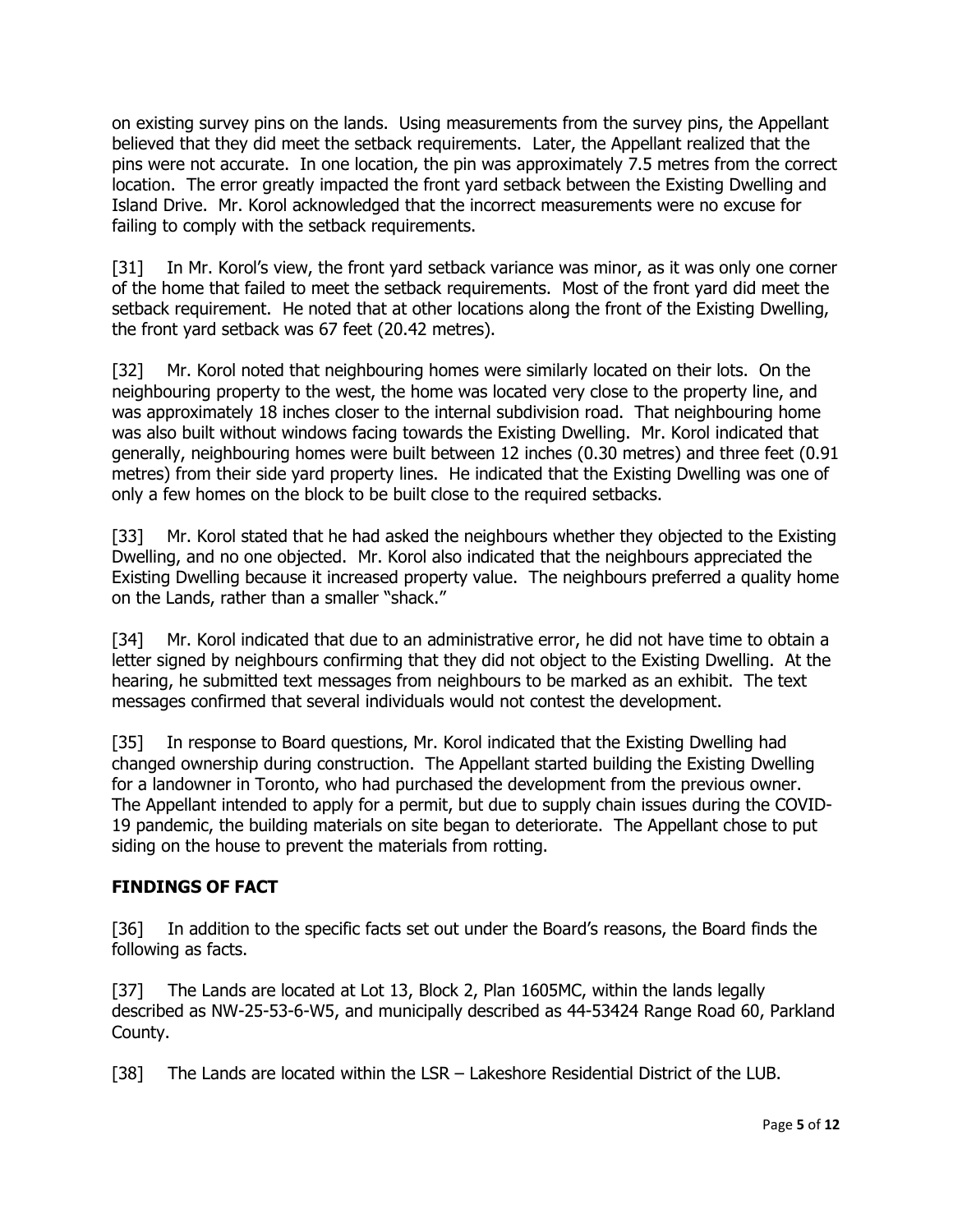on existing survey pins on the lands. Using measurements from the survey pins, the Appellant believed that they did meet the setback requirements. Later, the Appellant realized that the pins were not accurate. In one location, the pin was approximately 7.5 metres from the correct location. The error greatly impacted the front yard setback between the Existing Dwelling and Island Drive. Mr. Korol acknowledged that the incorrect measurements were no excuse for failing to comply with the setback requirements.

[31] In Mr. Korol's view, the front yard setback variance was minor, as it was only one corner of the home that failed to meet the setback requirements. Most of the front yard did meet the setback requirement. He noted that at other locations along the front of the Existing Dwelling, the front yard setback was 67 feet (20.42 metres).

[32] Mr. Korol noted that neighbouring homes were similarly located on their lots. On the neighbouring property to the west, the home was located very close to the property line, and was approximately 18 inches closer to the internal subdivision road. That neighbouring home was also built without windows facing towards the Existing Dwelling. Mr. Korol indicated that generally, neighbouring homes were built between 12 inches (0.30 metres) and three feet (0.91 metres) from their side yard property lines. He indicated that the Existing Dwelling was one of only a few homes on the block to be built close to the required setbacks.

[33] Mr. Korol stated that he had asked the neighbours whether they objected to the Existing Dwelling, and no one objected. Mr. Korol also indicated that the neighbours appreciated the Existing Dwelling because it increased property value. The neighbours preferred a quality home on the Lands, rather than a smaller "shack."

[34] Mr. Korol indicated that due to an administrative error, he did not have time to obtain a letter signed by neighbours confirming that they did not object to the Existing Dwelling. At the hearing, he submitted text messages from neighbours to be marked as an exhibit. The text messages confirmed that several individuals would not contest the development.

[35] In response to Board questions, Mr. Korol indicated that the Existing Dwelling had changed ownership during construction. The Appellant started building the Existing Dwelling for a landowner in Toronto, who had purchased the development from the previous owner. The Appellant intended to apply for a permit, but due to supply chain issues during the COVID-19 pandemic, the building materials on site began to deteriorate. The Appellant chose to put siding on the house to prevent the materials from rotting.

# **FINDINGS OF FACT**

[36] In addition to the specific facts set out under the Board's reasons, the Board finds the following as facts.

[37] The Lands are located at Lot 13, Block 2, Plan 1605MC, within the lands legally described as NW-25-53-6-W5, and municipally described as 44-53424 Range Road 60, Parkland County.

[38] The Lands are located within the LSR – Lakeshore Residential District of the LUB.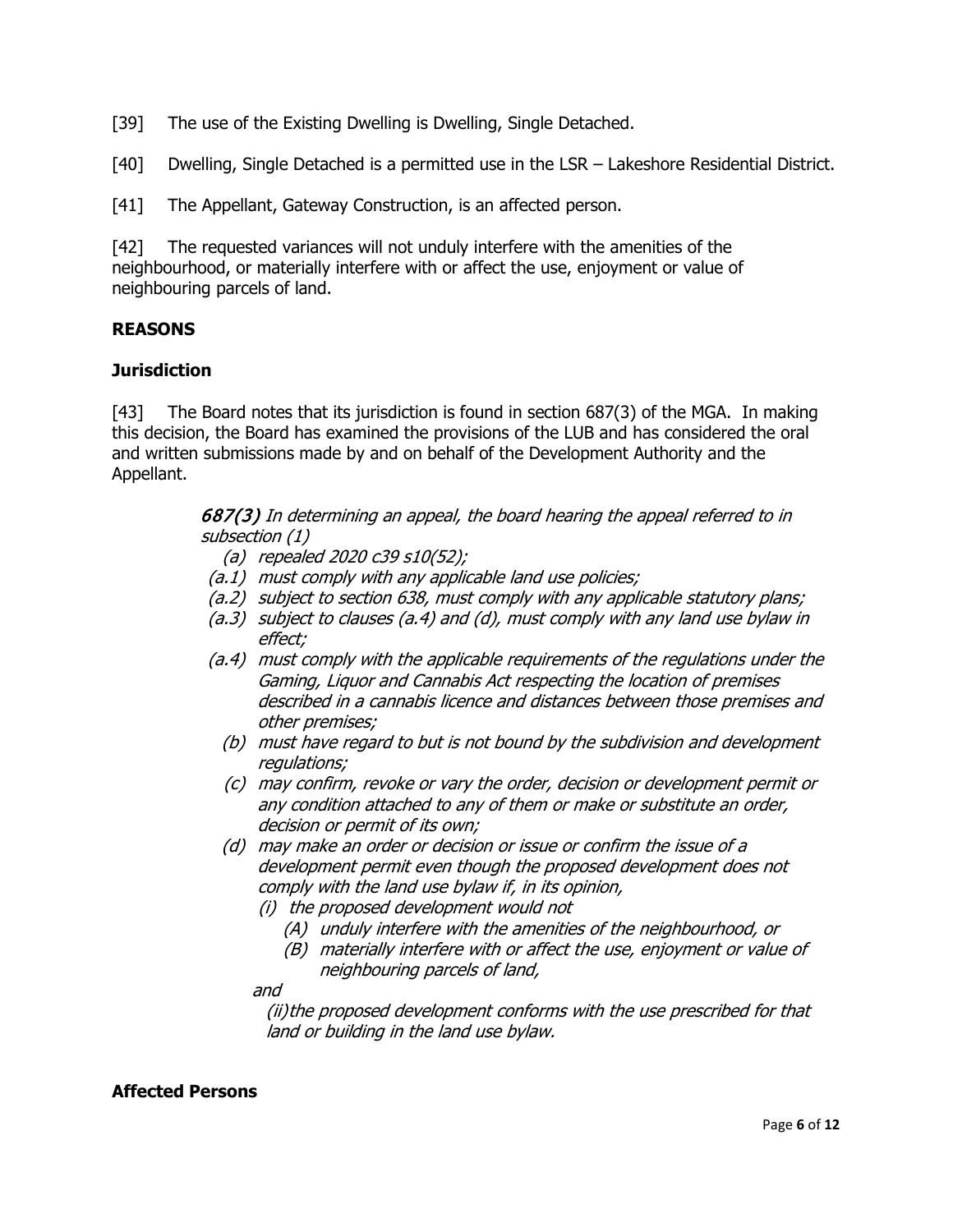- [39] The use of the Existing Dwelling is Dwelling, Single Detached.
- [40] Dwelling, Single Detached is a permitted use in the LSR Lakeshore Residential District.

[41] The Appellant, Gateway Construction, is an affected person.

[42] The requested variances will not unduly interfere with the amenities of the neighbourhood, or materially interfere with or affect the use, enjoyment or value of neighbouring parcels of land.

#### **REASONS**

#### **Jurisdiction**

[43] The Board notes that its jurisdiction is found in section 687(3) of the MGA. In making this decision, the Board has examined the provisions of the LUB and has considered the oral and written submissions made by and on behalf of the Development Authority and the Appellant.

> 687(3) In determining an appeal, the board hearing the appeal referred to in subsection (1)

- (a) repealed 2020 c39 s10(52);
- (a.1) must comply with any applicable land use policies;
- (a.2) subject to section 638, must comply with any applicable statutory plans;
- (a.3) subject to clauses (a.4) and (d), must comply with any land use bylaw in effect;
- (a.4) must comply with the applicable requirements of the regulations under the Gaming, Liquor and Cannabis Act respecting the location of premises described in a cannabis licence and distances between those premises and other premises;
	- (b) must have regard to but is not bound by the subdivision and development regulations;
	- (c) may confirm, revoke or vary the order, decision or development permit or any condition attached to any of them or make or substitute an order, decision or permit of its own;
	- (d) may make an order or decision or issue or confirm the issue of a development permit even though the proposed development does not comply with the land use bylaw if, in its opinion,
		- (i) the proposed development would not
			- (A) unduly interfere with the amenities of the neighbourhood, or
			- (B) materially interfere with or affect the use, enjoyment or value of neighbouring parcels of land,

and

(ii)the proposed development conforms with the use prescribed for that land or building in the land use bylaw.

#### **Affected Persons**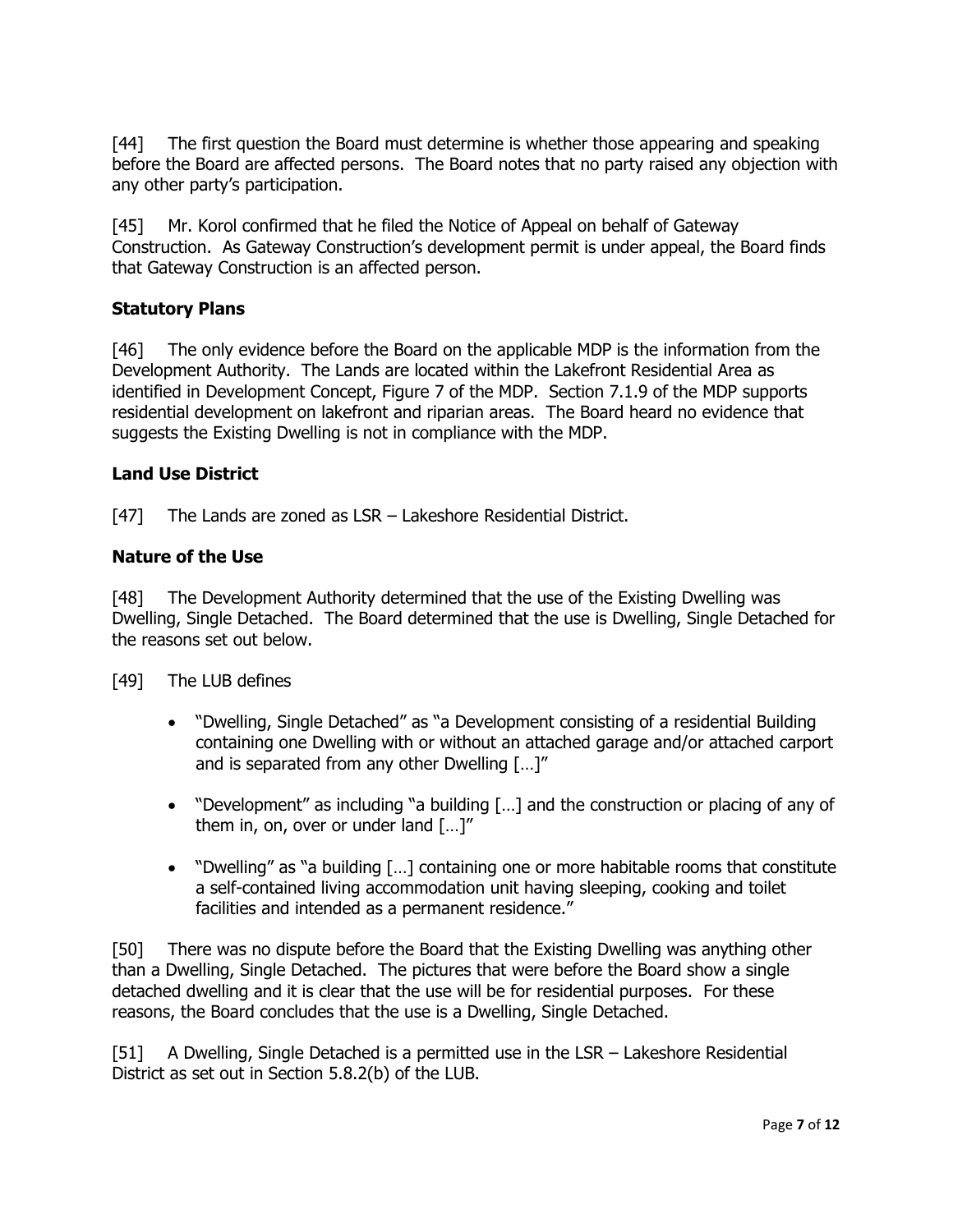[44] The first question the Board must determine is whether those appearing and speaking before the Board are affected persons. The Board notes that no party raised any objection with any other party's participation.

[45] Mr. Korol confirmed that he filed the Notice of Appeal on behalf of Gateway Construction. As Gateway Construction's development permit is under appeal, the Board finds that Gateway Construction is an affected person.

## **Statutory Plans**

[46] The only evidence before the Board on the applicable MDP is the information from the Development Authority. The Lands are located within the Lakefront Residential Area as identified in Development Concept, Figure 7 of the MDP. Section 7.1.9 of the MDP supports residential development on lakefront and riparian areas. The Board heard no evidence that suggests the Existing Dwelling is not in compliance with the MDP.

#### **Land Use District**

[47] The Lands are zoned as LSR – Lakeshore Residential District.

## **Nature of the Use**

[48] The Development Authority determined that the use of the Existing Dwelling was Dwelling, Single Detached. The Board determined that the use is Dwelling, Single Detached for the reasons set out below.

- [49] The LUB defines
	- "Dwelling, Single Detached" as "a Development consisting of a residential Building containing one Dwelling with or without an attached garage and/or attached carport and is separated from any other Dwelling […]"
	- "Development" as including "a building […] and the construction or placing of any of them in, on, over or under land […]"
	- "Dwelling" as "a building […] containing one or more habitable rooms that constitute a self-contained living accommodation unit having sleeping, cooking and toilet facilities and intended as a permanent residence."

[50] There was no dispute before the Board that the Existing Dwelling was anything other than a Dwelling, Single Detached. The pictures that were before the Board show a single detached dwelling and it is clear that the use will be for residential purposes. For these reasons, the Board concludes that the use is a Dwelling, Single Detached.

[51] A Dwelling, Single Detached is a permitted use in the LSR – Lakeshore Residential District as set out in Section 5.8.2(b) of the LUB.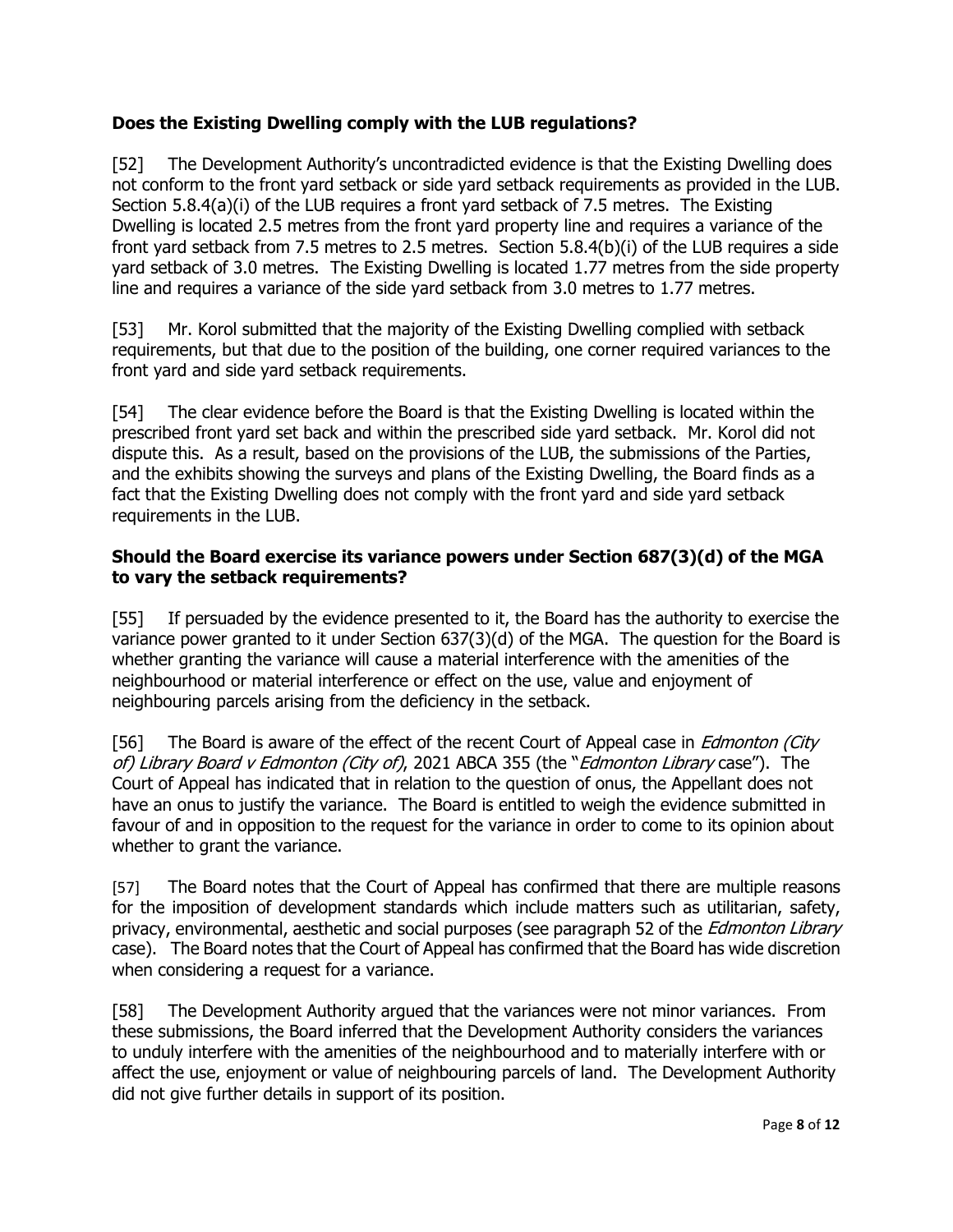## **Does the Existing Dwelling comply with the LUB regulations?**

[52] The Development Authority's uncontradicted evidence is that the Existing Dwelling does not conform to the front yard setback or side yard setback requirements as provided in the LUB. Section 5.8.4(a)(i) of the LUB requires a front yard setback of 7.5 metres. The Existing Dwelling is located 2.5 metres from the front yard property line and requires a variance of the front yard setback from 7.5 metres to 2.5 metres. Section 5.8.4(b)(i) of the LUB requires a side yard setback of 3.0 metres. The Existing Dwelling is located 1.77 metres from the side property line and requires a variance of the side yard setback from 3.0 metres to 1.77 metres.

[53] Mr. Korol submitted that the majority of the Existing Dwelling complied with setback requirements, but that due to the position of the building, one corner required variances to the front yard and side yard setback requirements.

[54] The clear evidence before the Board is that the Existing Dwelling is located within the prescribed front yard set back and within the prescribed side yard setback. Mr. Korol did not dispute this. As a result, based on the provisions of the LUB, the submissions of the Parties, and the exhibits showing the surveys and plans of the Existing Dwelling, the Board finds as a fact that the Existing Dwelling does not comply with the front yard and side yard setback requirements in the LUB.

## **Should the Board exercise its variance powers under Section 687(3)(d) of the MGA to vary the setback requirements?**

[55] If persuaded by the evidence presented to it, the Board has the authority to exercise the variance power granted to it under Section 637(3)(d) of the MGA. The question for the Board is whether granting the variance will cause a material interference with the amenities of the neighbourhood or material interference or effect on the use, value and enjoyment of neighbouring parcels arising from the deficiency in the setback.

[56] The Board is aware of the effect of the recent Court of Appeal case in *Edmonton (City* of) Library Board v Edmonton (City of), 2021 ABCA 355 (the "Edmonton Library case"). The Court of Appeal has indicated that in relation to the question of onus, the Appellant does not have an onus to justify the variance. The Board is entitled to weigh the evidence submitted in favour of and in opposition to the request for the variance in order to come to its opinion about whether to grant the variance.

[57] The Board notes that the Court of Appeal has confirmed that there are multiple reasons for the imposition of development standards which include matters such as utilitarian, safety, privacy, environmental, aesthetic and social purposes (see paragraph 52 of the *Edmonton Library* case). The Board notes that the Court of Appeal has confirmed that the Board has wide discretion when considering a request for a variance.

[58] The Development Authority argued that the variances were not minor variances. From these submissions, the Board inferred that the Development Authority considers the variances to unduly interfere with the amenities of the neighbourhood and to materially interfere with or affect the use, enjoyment or value of neighbouring parcels of land. The Development Authority did not give further details in support of its position.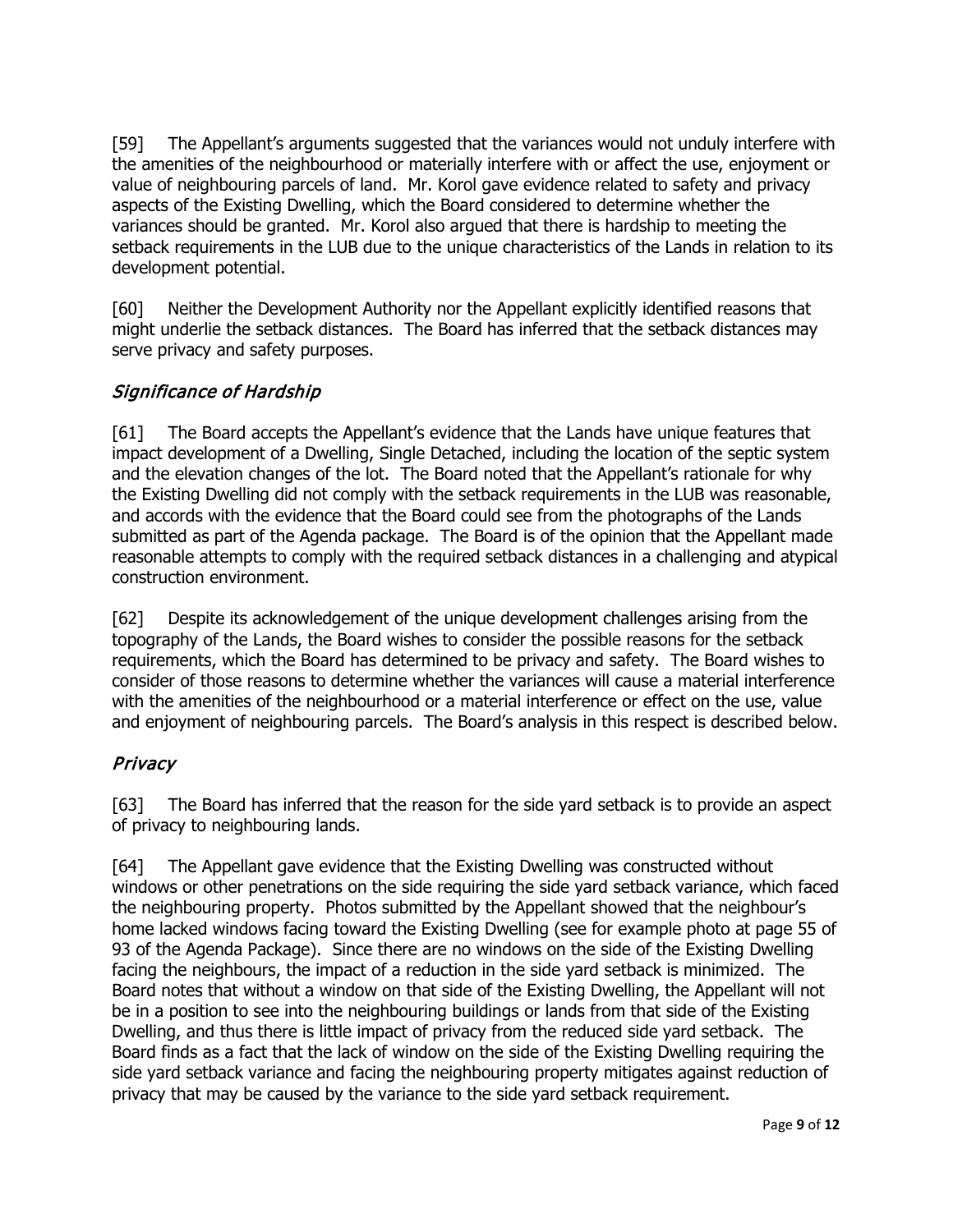[59] The Appellant's arguments suggested that the variances would not unduly interfere with the amenities of the neighbourhood or materially interfere with or affect the use, enjoyment or value of neighbouring parcels of land. Mr. Korol gave evidence related to safety and privacy aspects of the Existing Dwelling, which the Board considered to determine whether the variances should be granted. Mr. Korol also argued that there is hardship to meeting the setback requirements in the LUB due to the unique characteristics of the Lands in relation to its development potential.

[60] Neither the Development Authority nor the Appellant explicitly identified reasons that might underlie the setback distances. The Board has inferred that the setback distances may serve privacy and safety purposes.

# Significance of Hardship

[61] The Board accepts the Appellant's evidence that the Lands have unique features that impact development of a Dwelling, Single Detached, including the location of the septic system and the elevation changes of the lot. The Board noted that the Appellant's rationale for why the Existing Dwelling did not comply with the setback requirements in the LUB was reasonable, and accords with the evidence that the Board could see from the photographs of the Lands submitted as part of the Agenda package. The Board is of the opinion that the Appellant made reasonable attempts to comply with the required setback distances in a challenging and atypical construction environment.

[62] Despite its acknowledgement of the unique development challenges arising from the topography of the Lands, the Board wishes to consider the possible reasons for the setback requirements, which the Board has determined to be privacy and safety. The Board wishes to consider of those reasons to determine whether the variances will cause a material interference with the amenities of the neighbourhood or a material interference or effect on the use, value and enjoyment of neighbouring parcels. The Board's analysis in this respect is described below.

# **Privacy**

[63] The Board has inferred that the reason for the side yard setback is to provide an aspect of privacy to neighbouring lands.

[64] The Appellant gave evidence that the Existing Dwelling was constructed without windows or other penetrations on the side requiring the side yard setback variance, which faced the neighbouring property. Photos submitted by the Appellant showed that the neighbour's home lacked windows facing toward the Existing Dwelling (see for example photo at page 55 of 93 of the Agenda Package). Since there are no windows on the side of the Existing Dwelling facing the neighbours, the impact of a reduction in the side yard setback is minimized. The Board notes that without a window on that side of the Existing Dwelling, the Appellant will not be in a position to see into the neighbouring buildings or lands from that side of the Existing Dwelling, and thus there is little impact of privacy from the reduced side yard setback. The Board finds as a fact that the lack of window on the side of the Existing Dwelling requiring the side yard setback variance and facing the neighbouring property mitigates against reduction of privacy that may be caused by the variance to the side yard setback requirement.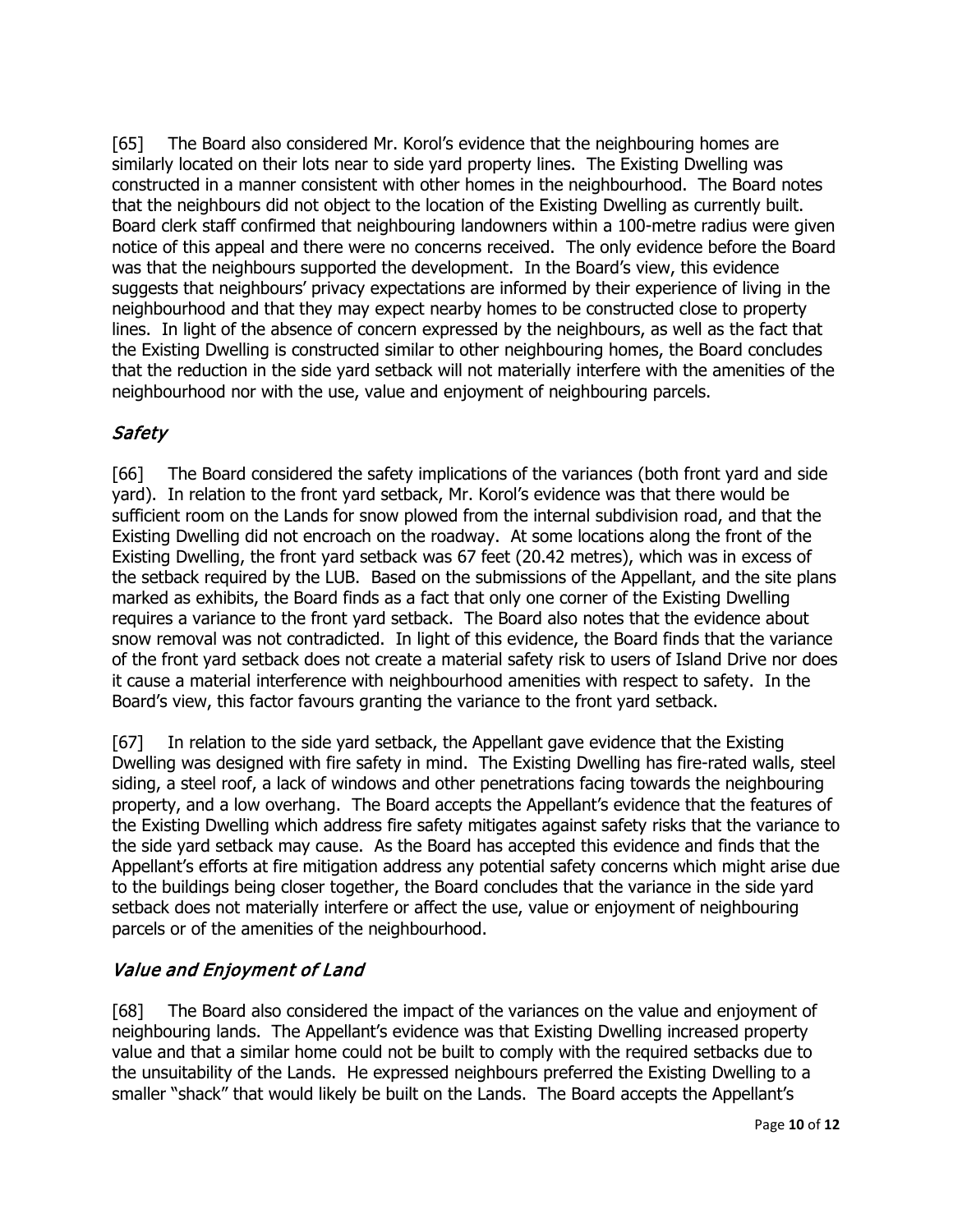[65] The Board also considered Mr. Korol's evidence that the neighbouring homes are similarly located on their lots near to side yard property lines. The Existing Dwelling was constructed in a manner consistent with other homes in the neighbourhood. The Board notes that the neighbours did not object to the location of the Existing Dwelling as currently built. Board clerk staff confirmed that neighbouring landowners within a 100-metre radius were given notice of this appeal and there were no concerns received. The only evidence before the Board was that the neighbours supported the development. In the Board's view, this evidence suggests that neighbours' privacy expectations are informed by their experience of living in the neighbourhood and that they may expect nearby homes to be constructed close to property lines. In light of the absence of concern expressed by the neighbours, as well as the fact that the Existing Dwelling is constructed similar to other neighbouring homes, the Board concludes that the reduction in the side yard setback will not materially interfere with the amenities of the neighbourhood nor with the use, value and enjoyment of neighbouring parcels.

# Safety

[66] The Board considered the safety implications of the variances (both front yard and side yard). In relation to the front yard setback, Mr. Korol's evidence was that there would be sufficient room on the Lands for snow plowed from the internal subdivision road, and that the Existing Dwelling did not encroach on the roadway. At some locations along the front of the Existing Dwelling, the front yard setback was 67 feet (20.42 metres), which was in excess of the setback required by the LUB. Based on the submissions of the Appellant, and the site plans marked as exhibits, the Board finds as a fact that only one corner of the Existing Dwelling requires a variance to the front yard setback. The Board also notes that the evidence about snow removal was not contradicted. In light of this evidence, the Board finds that the variance of the front yard setback does not create a material safety risk to users of Island Drive nor does it cause a material interference with neighbourhood amenities with respect to safety. In the Board's view, this factor favours granting the variance to the front yard setback.

[67] In relation to the side yard setback, the Appellant gave evidence that the Existing Dwelling was designed with fire safety in mind. The Existing Dwelling has fire-rated walls, steel siding, a steel roof, a lack of windows and other penetrations facing towards the neighbouring property, and a low overhang. The Board accepts the Appellant's evidence that the features of the Existing Dwelling which address fire safety mitigates against safety risks that the variance to the side yard setback may cause. As the Board has accepted this evidence and finds that the Appellant's efforts at fire mitigation address any potential safety concerns which might arise due to the buildings being closer together, the Board concludes that the variance in the side yard setback does not materially interfere or affect the use, value or enjoyment of neighbouring parcels or of the amenities of the neighbourhood.

# Value and Enjoyment of Land

[68] The Board also considered the impact of the variances on the value and enjoyment of neighbouring lands. The Appellant's evidence was that Existing Dwelling increased property value and that a similar home could not be built to comply with the required setbacks due to the unsuitability of the Lands. He expressed neighbours preferred the Existing Dwelling to a smaller "shack" that would likely be built on the Lands. The Board accepts the Appellant's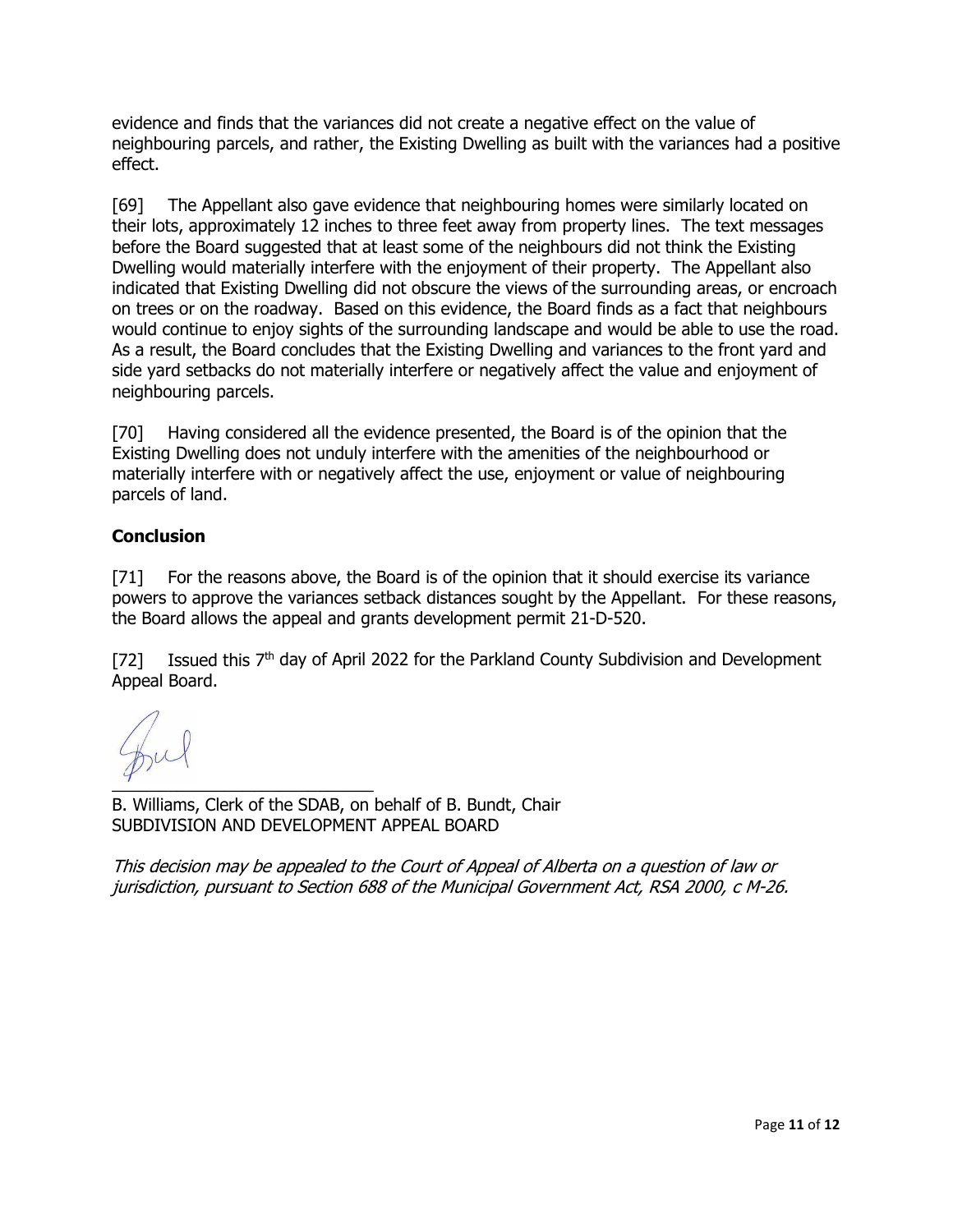evidence and finds that the variances did not create a negative effect on the value of neighbouring parcels, and rather, the Existing Dwelling as built with the variances had a positive effect.

[69] The Appellant also gave evidence that neighbouring homes were similarly located on their lots, approximately 12 inches to three feet away from property lines. The text messages before the Board suggested that at least some of the neighbours did not think the Existing Dwelling would materially interfere with the enjoyment of their property. The Appellant also indicated that Existing Dwelling did not obscure the views of the surrounding areas, or encroach on trees or on the roadway. Based on this evidence, the Board finds as a fact that neighbours would continue to enjoy sights of the surrounding landscape and would be able to use the road. As a result, the Board concludes that the Existing Dwelling and variances to the front yard and side yard setbacks do not materially interfere or negatively affect the value and enjoyment of neighbouring parcels.

[70] Having considered all the evidence presented, the Board is of the opinion that the Existing Dwelling does not unduly interfere with the amenities of the neighbourhood or materially interfere with or negatively affect the use, enjoyment or value of neighbouring parcels of land.

# **Conclusion**

[71] For the reasons above, the Board is of the opinion that it should exercise its variance powers to approve the variances setback distances sought by the Appellant. For these reasons, the Board allows the appeal and grants development permit 21-D-520.

[72] Issued this 7<sup>th</sup> day of April 2022 for the Parkland County Subdivision and Development Appeal Board.

 $\overline{1}$ 

B. Williams, Clerk of the SDAB, on behalf of B. Bundt, Chair SUBDIVISION AND DEVELOPMENT APPEAL BOARD

This decision may be appealed to the Court of Appeal of Alberta on a question of law or jurisdiction, pursuant to Section 688 of the Municipal Government Act, RSA 2000, c M-26.